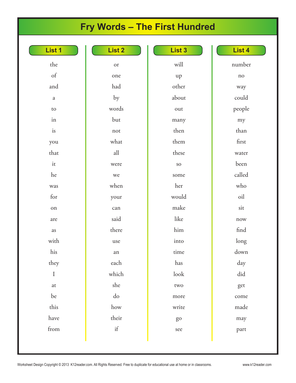# **Fry Words – The First Hundred**

| List 1       | List 2               | List 3     | List 4               |
|--------------|----------------------|------------|----------------------|
| the          | or                   | will       | number               |
| $\sigma f$   | one                  | up         | no                   |
| and          | had                  | other      | way                  |
| $\rm{a}$     | by                   | about      | could                |
| $\rm{to}$    | words                | out        | people               |
| in           | but                  | many       | my                   |
| is           | not                  | then       | than                 |
| you          | what                 | them       | first                |
| that         | $\mbox{all}$         | these      | water                |
| it           | were                 | $\rm SO$   | been                 |
| he           | we                   | some       | called               |
| was          | when                 | her        | who                  |
| for          | your                 | would      | oil                  |
| on           | can                  | make       | sit                  |
| are          | said                 | like       | now                  |
| as           | there                | $\lim$     | find                 |
| with         | use                  | into       | long                 |
| his          | an                   | time       | down                 |
| they         | each                 | has        | day                  |
| $\rm I$      | which                | $\rm look$ | $\operatorname{did}$ |
| at           | she                  | two        | get                  |
| be           | $\rm do$             | more       | come                 |
| this         | $\operatorname{how}$ | write      | made                 |
| have         | their                | go         | may                  |
| ${\rm from}$ | $\operatorname{if}$  | see        | part                 |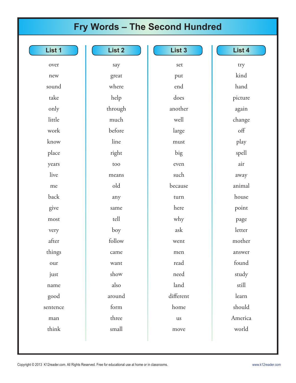# **Fry Words – The Second Hundred**

| List 1   | List 2  | List 3    |
|----------|---------|-----------|
| over     | say     | set       |
| new      | great   | put       |
| sound    | where   | end       |
| take     | help    | does      |
| only     | through | another   |
| little   | much    | well      |
| work     | before  | large     |
| know     | line    | must      |
| place    | right   | big       |
| years    | too     | even      |
| live     | means   | such      |
| me       | old     | because   |
| back     | any     | turn      |
| give     | same    | here      |
| most     | tell    | why       |
| very     | boy     | ask       |
| after    | follow  | went      |
| things   | came    | men       |
| our      | want    | read      |
| just     | show    | need      |
| name     | also    | land      |
| good     | around  | different |
| sentence | form    | home      |
| man      | three   | us        |
| think    | small   | move      |
|          |         |           |

**List 4** 

try

kind

hand

picture

again

change

off

play

spell

air

away

animal

house

point

page letter

mother

answer

found

study

still

learn

should

America

world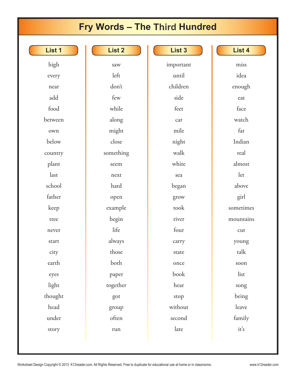# **Fry Words – The Third Hundred**

| List 1  | List 2    | List 3    | List 4    |
|---------|-----------|-----------|-----------|
| high    | saw       | important | miss      |
| every   | left      | until     | idea      |
| near    | don't     | children  | enough    |
| add     | few       | side      | eat       |
| food    | while     | feet      | face      |
| between | along     | car       | watch     |
| own     | might     | mile      | far       |
| below   | close     | night     | Indian    |
| country | something | walk      | real      |
| plant   | seem      | white     | almost    |
| last    | next      | sea       | let       |
| school  | hard      | began     | above     |
| father  | open      | grow      | girl      |
| keep    | example   | took      | sometimes |
| tree    | begin     | river     | mountains |
| never   | life      | four      | cut       |
| start   | always    | carry     | young     |
| city    | those     | state     | talk      |
| earth   | both      | once      | soon      |
| eyes    | paper     | book      | list      |
| light   | together  | hear      | song      |
| thought | got       | stop      | being     |
| head    | group     | without   | leave     |
| under   | often     | second    | family    |
| story   | run       | late      | it's      |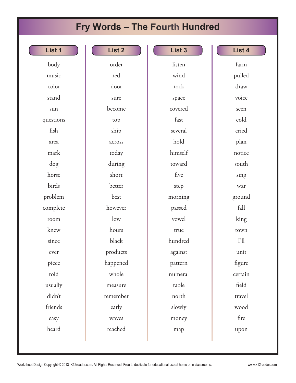# **Fry Words – The Fourth Hundred**

| <b>List 1</b> |
|---------------|
|---------------|

body music color stand sun questions fish area mark dog horse birds problem complete room knew since ever piece told usually didn't friends easy heard

| List 2   |
|----------|
| order    |
| red      |
| door     |
| sure     |
| become   |
| top      |
| ship     |
| across   |
| today    |
| during   |
| short    |
| better   |
| best     |
| however  |
| low      |
| hours    |
| black    |
| products |
| happened |
| whole    |
| measure  |
| remember |
| early    |
| waves    |
| reached  |

**List 3**  listen wind rock space covered fast several hold himself toward five step morning passed vowel true hundred against pattern numeral table north slowly money map

### **List 4**

farm

pulled draw voice seen cold cried plan notice south sing war ground fall king town I'll unit figure certain field travel wood fire

upon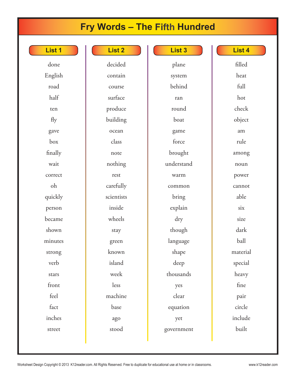# **Fry Words – The Fifth Hundred**

| <b>TS.</b> |  |  |  |  |  |
|------------|--|--|--|--|--|
|------------|--|--|--|--|--|

done English road half ten fly gave box finally wait correct oh quickly person became shown minutes strong verb stars front feel fact inches

street

| List 2     |
|------------|
| decided    |
| contain    |
| course     |
| surface    |
| produce    |
| building   |
| ocean      |
| class      |
| note       |
| nothing    |
| rest       |
| carefully  |
| scientists |
| inside     |
| wheels     |
| stay       |
| green      |
| known      |
| island     |
| week       |
| less       |
| machine    |
| base       |
| ago        |
| stood      |

**List 3**  plane system behind ran round boat game force brought understand warm common bring explain dry though language shape deep thousands yes clear equation yet government

### **List 4**

filled

heat full hot check object am rule among noun power cannot able six size dark ball material special heavy fine pair circle include built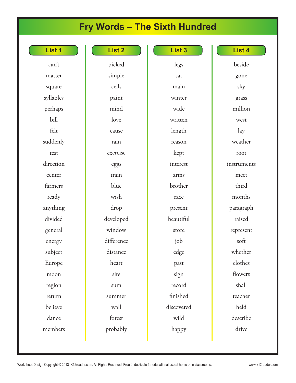# **Fry Words – The Sixth Hundred**

| List |  |
|------|--|
|      |  |
|      |  |
|      |  |

can't matter square syllables perhaps bill felt suddenly test direction center farmers ready anything divided general energy subject Europe moon region return believe dance members

| List <sub>2</sub> |
|-------------------|
| picked            |
| simple            |
| cells             |
| paint             |
| mind              |
| love              |
| cause             |
| rain              |
| exercise          |
| eggs              |
| train             |
| blue              |
| wish              |
| drop              |
| developed         |
| window            |
| difference        |
| distance          |
| heart             |
| site              |
| sum               |
| summer            |
| wall              |
| forest            |
| probably          |

**List 3**  legs sat main winter wide written length reason kept interest arms brother race present beautiful store job edge past sign record finished discovered wild happy

#### **List 4**

beside gone sky grass million west lay weather root instruments meet third months paragraph raised represent soft whether clothes flowers shall teacher held describe drive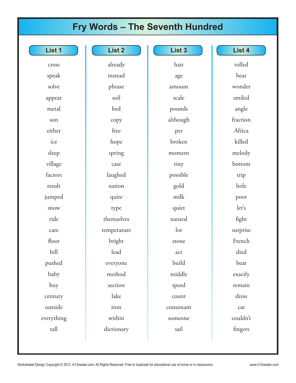## **Fry Words – The Seventh Hundred**

| cross      |
|------------|
| speak      |
| solve      |
| appear     |
| metal      |
| son        |
| either     |
| ice        |
| sleep      |
| village    |
| factors    |
| result     |
| jumped     |
| snow       |
| ride       |
| care       |
| floor      |
| hill       |
| pushed     |
| baby       |
| buy        |
| century    |
| outside    |
| everything |
| tall       |

| List <sub>2</sub> |
|-------------------|
| already           |
| instead           |
| phrase            |
| soil              |
| bed               |
| copy              |
| free              |
| hope              |
| spring            |
| case              |
| laughed           |
| nation            |
| quite             |
| type              |
| themselves        |
| temperature       |
| bright            |
| lead              |
| everyone          |
| method            |
| section           |
| lake              |
| iron              |
| within            |

| List <sub>3</sub> |
|-------------------|
| hair              |
| age               |
| amount            |
| scale             |
| pounds            |
| although          |
| per               |
| broken            |
| moment            |
| tiny              |
| possible          |
| gold              |
| milk              |
| quiet             |
| natural           |
| lot               |
| stone             |
| act               |
| build             |
| middle            |
| speed             |
| count             |
| consonant         |
| someone           |
| sail              |

### **List 4**

rolled bear wonder smiled angle fraction Africa killed melody bottom trip hole poor let's fight surprise French died beat exactly remain dress cat couldn't fingers

dictionary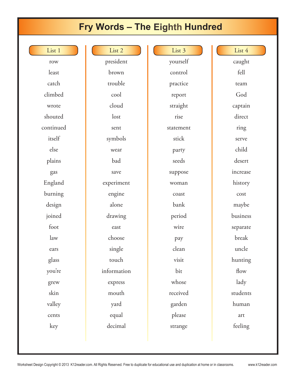### **Fry Words – The Eighth Hundred**

List 1

row least catch climbed wrote shouted continued itself else plains gas England burning design joined foot law ears glass you're grew skin valley cents

key

List 2 president brown trouble cool cloud lost sent symbols wear bad save experiment engine alone drawing east choose single touch information express mouth yard equal decimal

List 3 yourself control practice report straight rise statement stick party seeds suppose woman coast bank period wire pay clean visit bit whose received garden please strange

List 4 caught fell team God captain direct ring serve child desert increase history cost maybe business separate break uncle hunting flow lady students human art feeling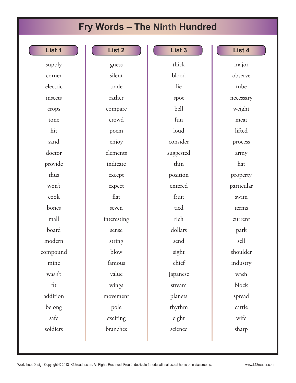### **Fry Words – The Ninth Hundred**

| List 1   |
|----------|
| supply   |
| corner   |
| electric |
| insects  |
| crops    |
| tone     |
| hit      |
| sand     |
| doctor   |
| provide  |
| thus     |
| won't    |
| cook     |
| bones    |
| mall     |
| board    |
| modern   |
| compound |
| mine     |

wasn't

fit

addition

belong

safe

soldiers

| List <sub>2</sub> |
|-------------------|
| guess             |
| silent            |
| trade             |
| rather            |
| compare           |
| crowd             |
| poem              |
| enjoy             |
| elements          |
| indicate          |
| except            |
| expect            |
| flat              |
| seven             |
| interesting       |
| sense             |
| string            |
| blow              |
| famous            |
| value             |
| wings             |
| movement          |
| pole              |
| exciting          |
| branches          |

**List 3**  thick blood lie spot bell fun loud consider suggested thin position entered fruit tied rich dollars send sight chief Japanese stream planets rhythm eight science

#### **List 4**

major observe tube necessary weight meat lifted process army hat property particular swim terms current park sell shoulder industry wash block spread cattle wife sharp